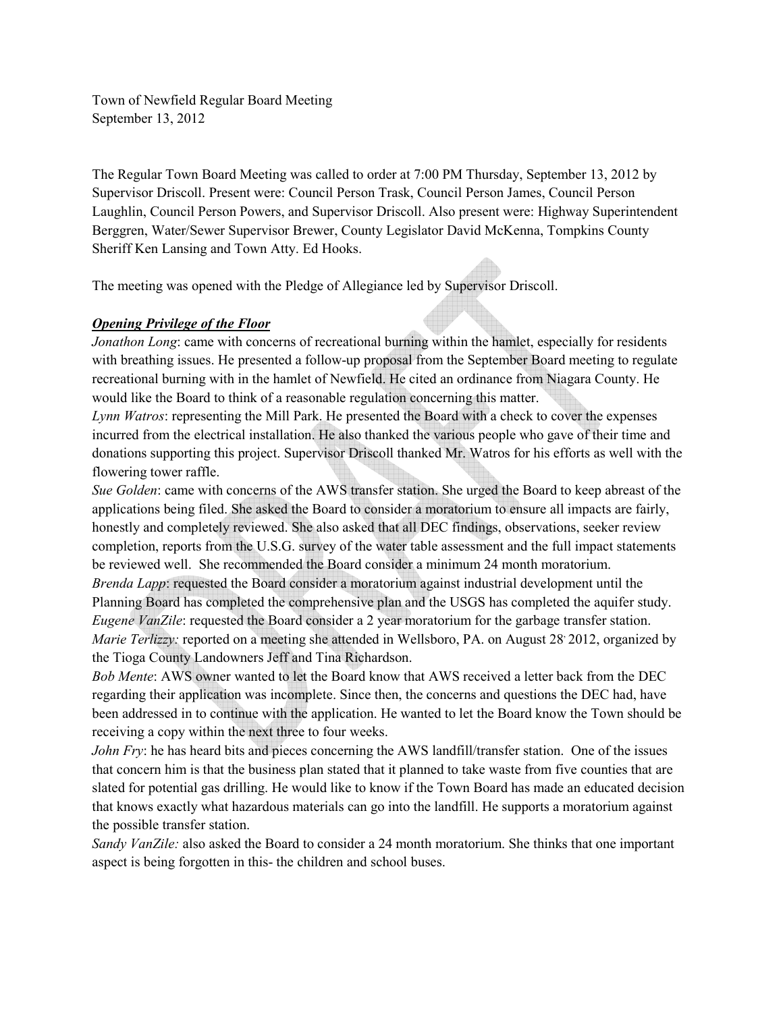Town of Newfield Regular Board Meeting September 13, 2012

The Regular Town Board Meeting was called to order at 7:00 PM Thursday, September 13, 2012 by Supervisor Driscoll. Present were: Council Person Trask, Council Person James, Council Person Laughlin, Council Person Powers, and Supervisor Driscoll. Also present were: Highway Superintendent Berggren, Water/Sewer Supervisor Brewer, County Legislator David McKenna, Tompkins County Sheriff Ken Lansing and Town Atty. Ed Hooks.

The meeting was opened with the Pledge of Allegiance led by Supervisor Driscoll.

# *Opening Privilege of the Floor*

*Jonathon Long*: came with concerns of recreational burning within the hamlet, especially for residents with breathing issues. He presented a follow-up proposal from the September Board meeting to regulate recreational burning with in the hamlet of Newfield. He cited an ordinance from Niagara County. He would like the Board to think of a reasonable regulation concerning this matter.

*Lynn Watros*: representing the Mill Park. He presented the Board with a check to cover the expenses incurred from the electrical installation. He also thanked the various people who gave of their time and donations supporting this project. Supervisor Driscoll thanked Mr. Watros for his efforts as well with the flowering tower raffle.

*Sue Golden*: came with concerns of the AWS transfer station. She urged the Board to keep abreast of the applications being filed. She asked the Board to consider a moratorium to ensure all impacts are fairly, honestly and completely reviewed. She also asked that all DEC findings, observations, seeker review completion, reports from the U.S.G. survey of the water table assessment and the full impact statements be reviewed well. She recommended the Board consider a minimum 24 month moratorium. *Brenda Lapp*: requested the Board consider a moratorium against industrial development until the Planning Board has completed the comprehensive plan and the USGS has completed the aquifer study. *Eugene VanZile:* requested the Board consider a 2 year moratorium for the garbage transfer station. *Marie Terlizzy:* reported on a meeting she attended in Wellsboro, PA. on August 28<sup>,</sup> 2012, organized by the Tioga County Landowners Jeff and Tina Richardson.

*Bob Mente*: AWS owner wanted to let the Board know that AWS received a letter back from the DEC regarding their application was incomplete. Since then, the concerns and questions the DEC had, have been addressed in to continue with the application. He wanted to let the Board know the Town should be receiving a copy within the next three to four weeks.

*John Fry*: he has heard bits and pieces concerning the AWS landfill/transfer station. One of the issues that concern him is that the business plan stated that it planned to take waste from five counties that are slated for potential gas drilling. He would like to know if the Town Board has made an educated decision that knows exactly what hazardous materials can go into the landfill. He supports a moratorium against the possible transfer station.

*Sandy VanZile:* also asked the Board to consider a 24 month moratorium. She thinks that one important aspect is being forgotten in this- the children and school buses.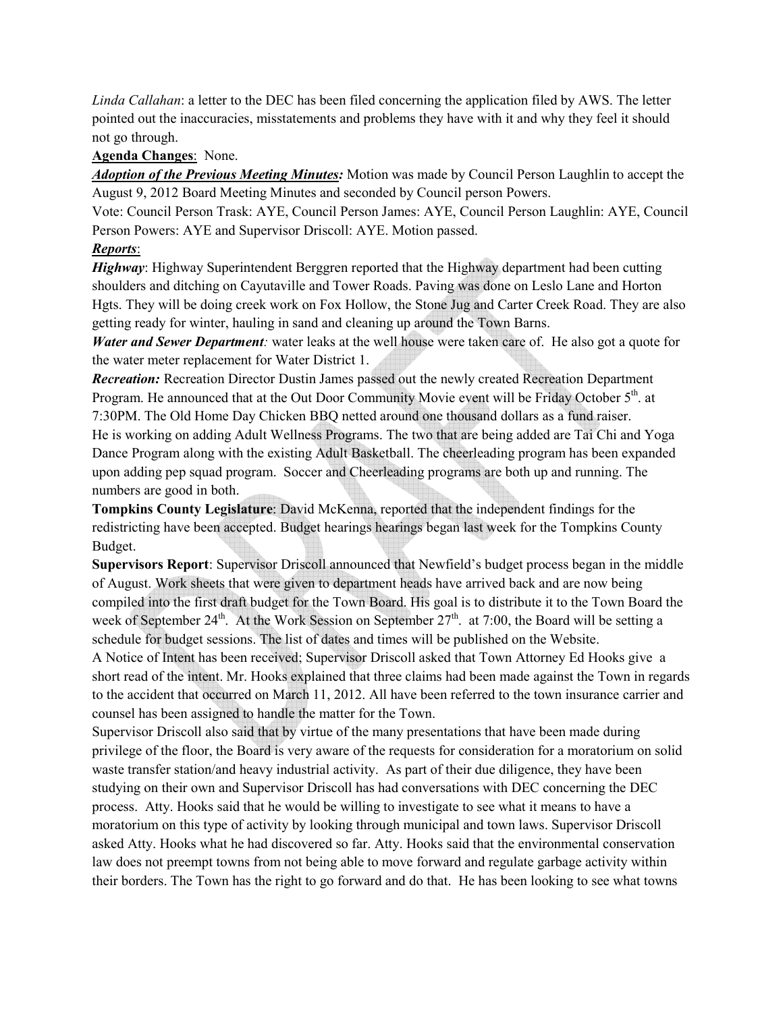*Linda Callahan*: a letter to the DEC has been filed concerning the application filed by AWS. The letter pointed out the inaccuracies, misstatements and problems they have with it and why they feel it should not go through.

#### **Agenda Changes**: None.

*Adoption of the Previous Meeting Minutes:* Motion was made by Council Person Laughlin to accept the August 9, 2012 Board Meeting Minutes and seconded by Council person Powers.

Vote: Council Person Trask: AYE, Council Person James: AYE, Council Person Laughlin: AYE, Council Person Powers: AYE and Supervisor Driscoll: AYE. Motion passed.

## *Reports*:

*Highway*: Highway Superintendent Berggren reported that the Highway department had been cutting shoulders and ditching on Cayutaville and Tower Roads. Paving was done on Leslo Lane and Horton Hgts. They will be doing creek work on Fox Hollow, the Stone Jug and Carter Creek Road. They are also getting ready for winter, hauling in sand and cleaning up around the Town Barns.

*Water and Sewer Department:* water leaks at the well house were taken care of. He also got a quote for the water meter replacement for Water District 1.

*Recreation:* Recreation Director Dustin James passed out the newly created Recreation Department Program. He announced that at the Out Door Community Movie event will be Friday October 5<sup>th</sup>. at 7:30PM. The Old Home Day Chicken BBQ netted around one thousand dollars as a fund raiser. He is working on adding Adult Wellness Programs. The two that are being added are Tai Chi and Yoga Dance Program along with the existing Adult Basketball. The cheerleading program has been expanded upon adding pep squad program. Soccer and Cheerleading programs are both up and running. The numbers are good in both.

**Tompkins County Legislature**: David McKenna, reported that the independent findings for the redistricting have been accepted. Budget hearings hearings began last week for the Tompkins County Budget.

**Supervisors Report**: Supervisor Driscoll announced that Newfield's budget process began in the middle of August. Work sheets that were given to department heads have arrived back and are now being compiled into the first draft budget for the Town Board. His goal is to distribute it to the Town Board the week of September 24<sup>th</sup>. At the Work Session on September 27<sup>th</sup>. at 7:00, the Board will be setting a schedule for budget sessions. The list of dates and times will be published on the Website.

A Notice of Intent has been received; Supervisor Driscoll asked that Town Attorney Ed Hooks give a short read of the intent. Mr. Hooks explained that three claims had been made against the Town in regards to the accident that occurred on March 11, 2012. All have been referred to the town insurance carrier and counsel has been assigned to handle the matter for the Town.

Supervisor Driscoll also said that by virtue of the many presentations that have been made during privilege of the floor, the Board is very aware of the requests for consideration for a moratorium on solid waste transfer station/and heavy industrial activity. As part of their due diligence, they have been studying on their own and Supervisor Driscoll has had conversations with DEC concerning the DEC process. Atty. Hooks said that he would be willing to investigate to see what it means to have a moratorium on this type of activity by looking through municipal and town laws. Supervisor Driscoll asked Atty. Hooks what he had discovered so far. Atty. Hooks said that the environmental conservation law does not preempt towns from not being able to move forward and regulate garbage activity within their borders. The Town has the right to go forward and do that. He has been looking to see what towns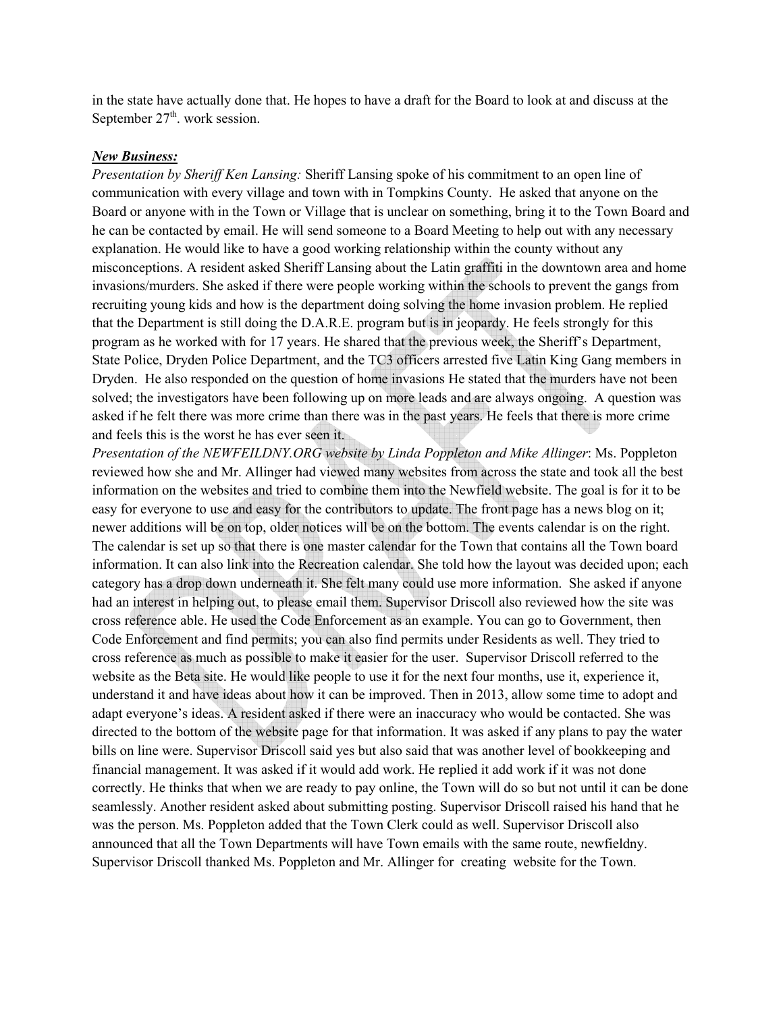in the state have actually done that. He hopes to have a draft for the Board to look at and discuss at the September  $27<sup>th</sup>$ . work session.

#### *New Business:*

*Presentation by Sheriff Ken Lansing:* Sheriff Lansing spoke of his commitment to an open line of communication with every village and town with in Tompkins County. He asked that anyone on the Board or anyone with in the Town or Village that is unclear on something, bring it to the Town Board and he can be contacted by email. He will send someone to a Board Meeting to help out with any necessary explanation. He would like to have a good working relationship within the county without any misconceptions. A resident asked Sheriff Lansing about the Latin graffiti in the downtown area and home invasions/murders. She asked if there were people working within the schools to prevent the gangs from recruiting young kids and how is the department doing solving the home invasion problem. He replied that the Department is still doing the D.A.R.E. program but is in jeopardy. He feels strongly for this program as he worked with for 17 years. He shared that the previous week, the Sheriff's Department, State Police, Dryden Police Department, and the TC3 officers arrested five Latin King Gang members in Dryden. He also responded on the question of home invasions He stated that the murders have not been solved; the investigators have been following up on more leads and are always ongoing. A question was asked if he felt there was more crime than there was in the past years. He feels that there is more crime and feels this is the worst he has ever seen it.

*Presentation of the NEWFEILDNY.ORG website by Linda Poppleton and Mike Allinger*: Ms. Poppleton reviewed how she and Mr. Allinger had viewed many websites from across the state and took all the best information on the websites and tried to combine them into the Newfield website. The goal is for it to be easy for everyone to use and easy for the contributors to update. The front page has a news blog on it; newer additions will be on top, older notices will be on the bottom. The events calendar is on the right. The calendar is set up so that there is one master calendar for the Town that contains all the Town board information. It can also link into the Recreation calendar. She told how the layout was decided upon; each category has a drop down underneath it. She felt many could use more information. She asked if anyone had an interest in helping out, to please email them. Supervisor Driscoll also reviewed how the site was cross reference able. He used the Code Enforcement as an example. You can go to Government, then Code Enforcement and find permits; you can also find permits under Residents as well. They tried to cross reference as much as possible to make it easier for the user. Supervisor Driscoll referred to the website as the Beta site. He would like people to use it for the next four months, use it, experience it, understand it and have ideas about how it can be improved. Then in 2013, allow some time to adopt and adapt everyone's ideas. A resident asked if there were an inaccuracy who would be contacted. She was directed to the bottom of the website page for that information. It was asked if any plans to pay the water bills on line were. Supervisor Driscoll said yes but also said that was another level of bookkeeping and financial management. It was asked if it would add work. He replied it add work if it was not done correctly. He thinks that when we are ready to pay online, the Town will do so but not until it can be done seamlessly. Another resident asked about submitting posting. Supervisor Driscoll raised his hand that he was the person. Ms. Poppleton added that the Town Clerk could as well. Supervisor Driscoll also announced that all the Town Departments will have Town emails with the same route, newfieldny. Supervisor Driscoll thanked Ms. Poppleton and Mr. Allinger for creating website for the Town.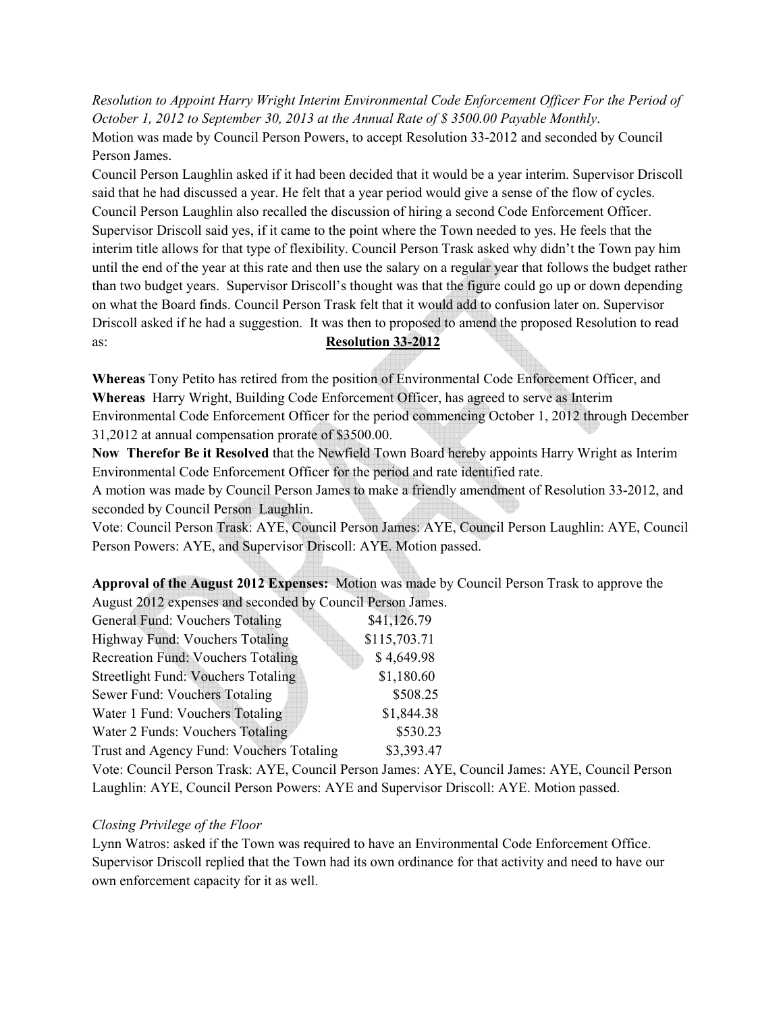*Resolution to Appoint Harry Wright Interim Environmental Code Enforcement Officer For the Period of October 1, 2012 to September 30, 2013 at the Annual Rate of \$ 3500.00 Payable Monthly*. Motion was made by Council Person Powers, to accept Resolution 33-2012 and seconded by Council Person James.

Council Person Laughlin asked if it had been decided that it would be a year interim. Supervisor Driscoll said that he had discussed a year. He felt that a year period would give a sense of the flow of cycles. Council Person Laughlin also recalled the discussion of hiring a second Code Enforcement Officer. Supervisor Driscoll said yes, if it came to the point where the Town needed to yes. He feels that the interim title allows for that type of flexibility. Council Person Trask asked why didn't the Town pay him until the end of the year at this rate and then use the salary on a regular year that follows the budget rather than two budget years. Supervisor Driscoll's thought was that the figure could go up or down depending on what the Board finds. Council Person Trask felt that it would add to confusion later on. Supervisor Driscoll asked if he had a suggestion. It was then to proposed to amend the proposed Resolution to read as: **Resolution 33-2012** 

**Whereas** Tony Petito has retired from the position of Environmental Code Enforcement Officer, and **Whereas** Harry Wright, Building Code Enforcement Officer, has agreed to serve as Interim Environmental Code Enforcement Officer for the period commencing October 1, 2012 through December 31,2012 at annual compensation prorate of \$3500.00.

**Now Therefor Be it Resolved** that the Newfield Town Board hereby appoints Harry Wright as Interim Environmental Code Enforcement Officer for the period and rate identified rate.

A motion was made by Council Person James to make a friendly amendment of Resolution 33-2012, and seconded by Council Person Laughlin.

Vote: Council Person Trask: AYE, Council Person James: AYE, Council Person Laughlin: AYE, Council Person Powers: AYE, and Supervisor Driscoll: AYE. Motion passed.

**Approval of the August 2012 Expenses:** Motion was made by Council Person Trask to approve the August 2012 expenses and seconded by Council Person James.

| General Fund: Vouchers Totaling            | \$41,126.79  |
|--------------------------------------------|--------------|
| Highway Fund: Vouchers Totaling            | \$115,703.71 |
| <b>Recreation Fund: Vouchers Totaling</b>  | \$4,649.98   |
| <b>Streetlight Fund: Vouchers Totaling</b> | \$1,180.60   |
| Sewer Fund: Vouchers Totaling              | \$508.25     |
| Water 1 Fund: Vouchers Totaling            | \$1,844.38   |
| Water 2 Funds: Vouchers Totaling           | \$530.23     |
| Trust and Agency Fund: Vouchers Totaling   | \$3,393.47   |

Vote: Council Person Trask: AYE, Council Person James: AYE, Council James: AYE, Council Person Laughlin: AYE, Council Person Powers: AYE and Supervisor Driscoll: AYE. Motion passed.

## *Closing Privilege of the Floor*

Lynn Watros: asked if the Town was required to have an Environmental Code Enforcement Office. Supervisor Driscoll replied that the Town had its own ordinance for that activity and need to have our own enforcement capacity for it as well.